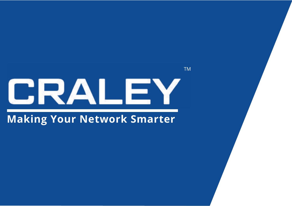# CRALEY

TM

#### **Making Your Network Smarter**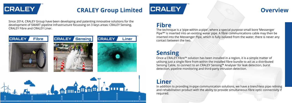

### **CRALEY Group Limited Overview**

Since 2014, CRALEY Group have been developing and patenting innovative solutions for the development of SMART pipeline Infrastructure focussing on 3 keys areas: CRALEY Sensing, **Fibre**<br>CRALEY Fibre and CRALEY Liner.



The technique is a 'pipe-within-a-pipe', where a special purpose small bore 'Messenger Pipe™' is inserted into an existing water pipe. A fibre communications cable may then be inserted into the Messenger Pipe, which is fully isolated from the water, there is never any contact between the two.

### **Sensing**

Once a CRALEY Fibre™ solution has been installed in a region, it is a simple matter of utilising just a single fibre from within the installed fibre bundle to act as a distributed Sensing Cable, to connect to an CRALEY Sensing™ Analyser for leak detection, burst detection, pipeline monitoring and third-party intrusion detection.

#### **Liner**

In addition to providing in-pipe communication solutions, we have a trenchless pipe relining and rehabilitation product with the ability to provide simultaneous fibre optic connectivity if required.

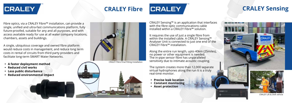## **CRALEY**

### **CRALEY Fibre**

# **CRALEY**

Fibre optics, via a CRALEY Fibre™ installation, can provide a single, unified and ultra-fast communications platform, fully future-proofed, suitable for any and all purposes, and with access available ready for use at all water company locations, chambers, assets and buildings.

A single, ubiquitous coverage and owned fibre platform would reduce costs in management, and reduce long term costs in rental of circuits from third party providers and facilitate long-term SMART Water Networks.

- **• A faster deployment method**
- **• Reduced civil works**
- **• Less public disturbance**
- **• Reduced environmental impact**



CRALEY Fibre Final Fitting Installation

#### **CRALEY Sensing**



CRALEY Sensing™ is an application that interfaces with the fibre optic communications cable installed within a CRALEY Fibre™ solution.

It requires the use of just a single fibre from within the installed cable. A CRALEY Sensing™ Analyser Unit is connected to just one end of the CRALEY Fibre™ installation.

Along the entire run length, upto 40km (25miles), no power or other equipment is needed. The in-pipe sensor fibre has unparalleled sensitivity due to intimate acoustic coupling.

The system creates more than 12,000 separate virtual hydrophones along the run It is a truly real-time monitor.

- **• Precise leak location**
- **• Constant monitoring**
- **• Asset protection**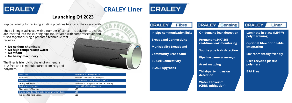

#### **CRALEY Liner**

# **CRALEY**

**CRALEY** 

In-pipe relining for re-lining existing pipelines to extend their service life.

The re-lining is achieved with a number of concentric polymer tubes, that are inserted into the existing pipeline, inflated with compressed air and fused together using a patented technique that requires:

- **• No noxious chemicals**
- **• No high temperature water**
- **• No steam**
- **• No heavy machinery**

The liner is friendly to the environment, is BPA free and is manufactured from recycled polymers.

**On-demand leak detection**

**Permanent 24/7 365 real-time leak monitoring**

**Supply pipe leak detection**

**Pipeline camera surveys**

**Asset mapping**

**Third-party intrusion detection**

**Water Terrorism (CBRN mitigation)**

**In-pipe communication links**

**Fibre** 

**Broadband Connectivity**

**Municipality Broadband**

**Community Broadband**

**5G Cell Connectivity**

**SCADA upgrades**

#### **CRALEY** Sensing

**Laminate in place (LIPP™) polymer lining**

**Optional fibre optic cable integration**

**Environmentally friendly** 

**Uses recycled plastic polymers**

**BPA Free**

| <b>Pipe Sizes</b>                                | 150mm to 300mm (6" to 12")              |
|--------------------------------------------------|-----------------------------------------|
| Structure                                        | Multiple laminated HDPE layers          |
| Technique                                        | Laminated in Place Polymer (LIPP™)      |
| Curing technique                                 | Non-contact magnetic lamination heating |
| Typical insertion rate                           | Up to 300m (1,000ft) per day            |
| Bisphenol A (BPA) free                           | <b>YES</b>                              |
| Option of adding fibre optic communication ducts | <b>YES</b>                              |
| Pre-inserted fibre option                        | <b>YES</b>                              |





#### **Launching Q1 2023**